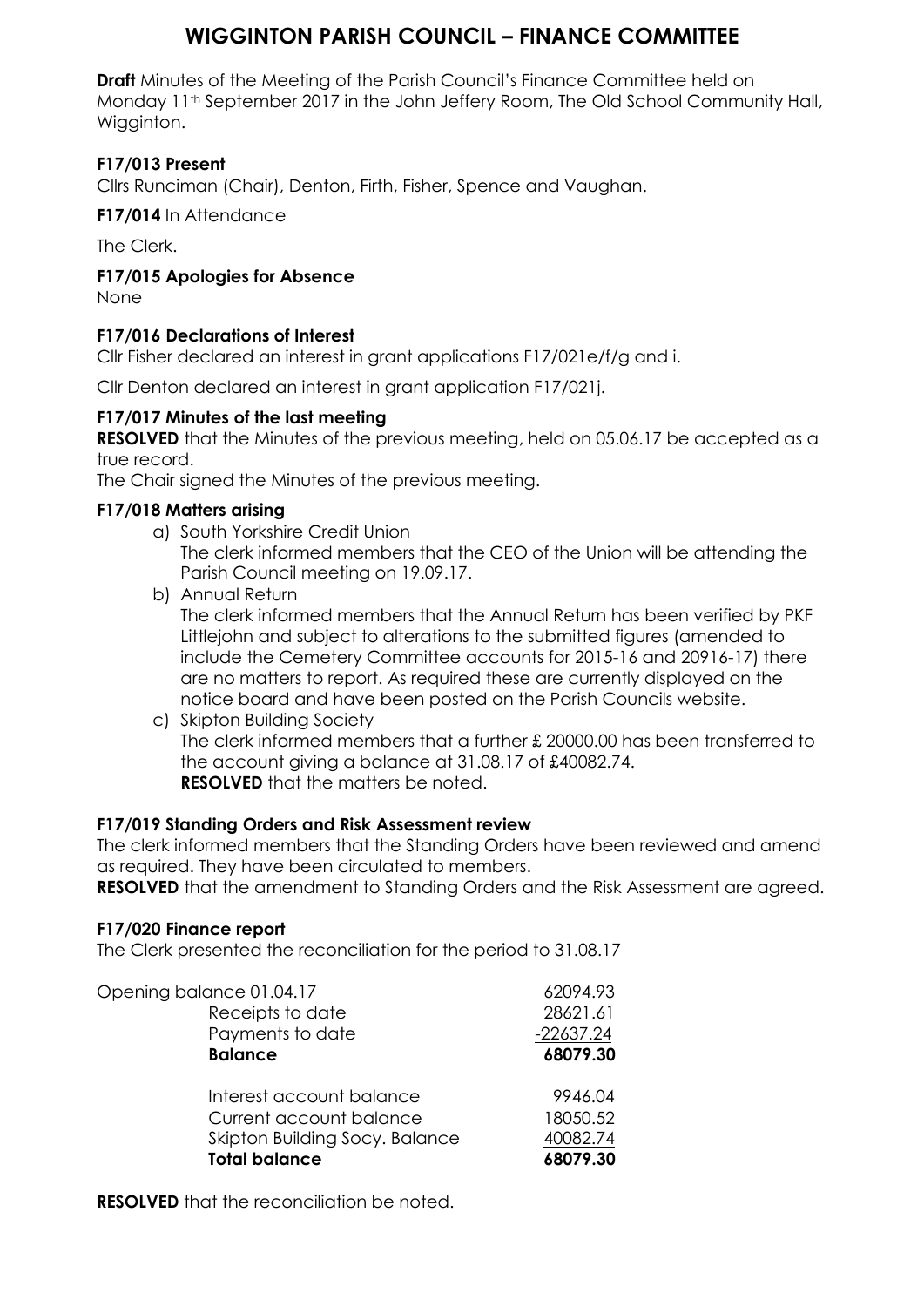# **WIGGINTON PARISH COUNCIL – FINANCE COMMITTEE**

**Draft** Minutes of the Meeting of the Parish Council's Finance Committee held on Monday 11<sup>th</sup> September 2017 in the John Jeffery Room, The Old School Community Hall, Wigginton.

# **F17/013 Present**

Cllrs Runciman (Chair), Denton, Firth, Fisher, Spence and Vaughan.

**F17/014** In Attendance

The Clerk.

**F17/015 Apologies for Absence**

None

## **F17/016 Declarations of Interest**

Cllr Fisher declared an interest in grant applications F17/021e/f/g and i.

Cllr Denton declared an interest in grant application F17/021j.

## **F17/017 Minutes of the last meeting**

**RESOLVED** that the Minutes of the previous meeting, held on 05.06.17 be accepted as a true record.

The Chair signed the Minutes of the previous meeting.

### **F17/018 Matters arising**

- a) South Yorkshire Credit Union The clerk informed members that the CEO of the Union will be attending the Parish Council meeting on 19.09.17.
- b) Annual Return The clerk informed members that the Annual Return has been verified by PKF Littlejohn and subject to alterations to the submitted figures (amended to include the Cemetery Committee accounts for 2015-16 and 20916-17) there are no matters to report. As required these are currently displayed on the notice board and have been posted on the Parish Councils website.
- c) Skipton Building Society The clerk informed members that a further £ 20000.00 has been transferred to the account giving a balance at 31.08.17 of £40082.74. **RESOLVED** that the matters be noted.

## **F17/019 Standing Orders and Risk Assessment review**

The clerk informed members that the Standing Orders have been reviewed and amend as required. They have been circulated to members.

**RESOLVED** that the amendment to Standing Orders and the Risk Assessment are agreed.

#### **F17/020 Finance report**

The Clerk presented the reconciliation for the period to 31.08.17

| Opening balance 01.04.17       | 62094.93    |
|--------------------------------|-------------|
| Receipts to date               | 28621.61    |
| Payments to date               | $-22637.24$ |
| <b>Balance</b>                 | 68079.30    |
| Interest account balance       | 9946.04     |
| Current account balance        | 18050.52    |
| Skipton Building Socy. Balance | 40082.74    |
| <b>Total balance</b>           | 68079.30    |

**RESOLVED** that the reconciliation be noted.